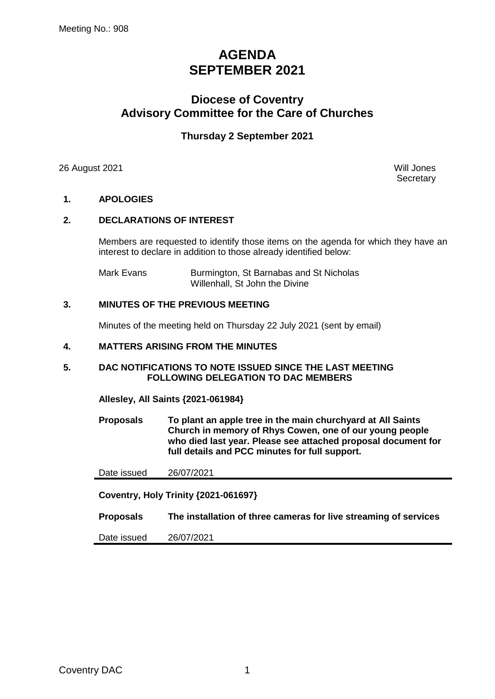# **AGENDA SEPTEMBER 2021**

## **Diocese of Coventry Advisory Committee for the Care of Churches**

## **Thursday 2 September 2021**

26 August 2021 Will Jones

**Secretary** 

## **1. APOLOGIES**

## **2. DECLARATIONS OF INTEREST**

Members are requested to identify those items on the agenda for which they have an interest to declare in addition to those already identified below:

Mark Evans **Burmington, St Barnabas and St Nicholas** Willenhall, St John the Divine

#### **3. MINUTES OF THE PREVIOUS MEETING**

Minutes of the meeting held on Thursday 22 July 2021 (sent by email)

#### **4. MATTERS ARISING FROM THE MINUTES**

#### **5. DAC NOTIFICATIONS TO NOTE ISSUED SINCE THE LAST MEETING FOLLOWING DELEGATION TO DAC MEMBERS**

**Allesley, All Saints {2021-061984}**

**Proposals To plant an apple tree in the main churchyard at All Saints Church in memory of Rhys Cowen, one of our young people who died last year. Please see attached proposal document for full details and PCC minutes for full support.**

Date issued 26/07/2021

**Coventry, Holy Trinity {2021-061697}**

**Proposals The installation of three cameras for live streaming of services**

Date issued 26/07/2021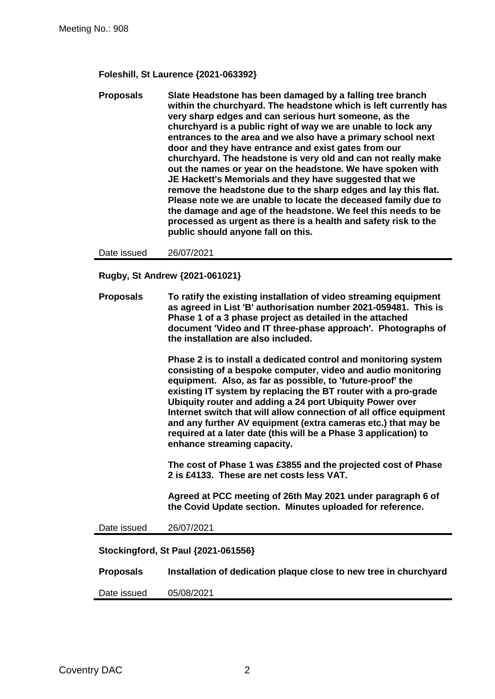**Foleshill, St Laurence {2021-063392}**

**Proposals Slate Headstone has been damaged by a falling tree branch within the churchyard. The headstone which is left currently has very sharp edges and can serious hurt someone, as the churchyard is a public right of way we are unable to lock any entrances to the area and we also have a primary school next door and they have entrance and exist gates from our churchyard. The headstone is very old and can not really make out the names or year on the headstone. We have spoken with JE Hackett's Memorials and they have suggested that we remove the headstone due to the sharp edges and lay this flat. Please note we are unable to locate the deceased family due to the damage and age of the headstone. We feel this needs to be processed as urgent as there is a health and safety risk to the public should anyone fall on this.**

Date issued 26/07/2021

**Rugby, St Andrew {2021-061021}**

**Proposals To ratify the existing installation of video streaming equipment as agreed in List 'B' authorisation number 2021-059481. This is Phase 1 of a 3 phase project as detailed in the attached document 'Video and IT three-phase approach'. Photographs of the installation are also included.** 

> **Phase 2 is to install a dedicated control and monitoring system consisting of a bespoke computer, video and audio monitoring equipment. Also, as far as possible, to 'future-proof' the existing IT system by replacing the BT router with a pro-grade Ubiquity router and adding a 24 port Ubiquity Power over Internet switch that will allow connection of all office equipment and any further AV equipment (extra cameras etc.) that may be required at a later date (this will be a Phase 3 application) to enhance streaming capacity.**

**The cost of Phase 1 was £3855 and the projected cost of Phase 2 is £4133. These are net costs less VAT.**

**Agreed at PCC meeting of 26th May 2021 under paragraph 6 of the Covid Update section. Minutes uploaded for reference.**

Date issued 26/07/2021

#### **Stockingford, St Paul {2021-061556}**

**Proposals Installation of dedication plaque close to new tree in churchyard** Date issued 05/08/2021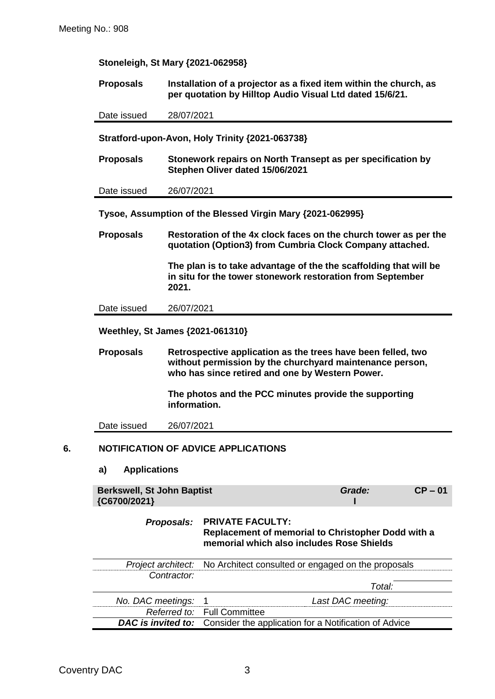| <b>Proposals</b>                                                                                                                                                                                                                                                         |              | Installation of a projector as a fixed item within the church, as<br>per quotation by Hilltop Audio Visual Ltd dated 15/6/21.   |  |  |
|--------------------------------------------------------------------------------------------------------------------------------------------------------------------------------------------------------------------------------------------------------------------------|--------------|---------------------------------------------------------------------------------------------------------------------------------|--|--|
| Date issued                                                                                                                                                                                                                                                              |              | 28/07/2021                                                                                                                      |  |  |
|                                                                                                                                                                                                                                                                          |              | Stratford-upon-Avon, Holy Trinity {2021-063738}                                                                                 |  |  |
| <b>Proposals</b>                                                                                                                                                                                                                                                         |              | Stonework repairs on North Transept as per specification by<br>Stephen Oliver dated 15/06/2021                                  |  |  |
| Date issued                                                                                                                                                                                                                                                              | 26/07/2021   |                                                                                                                                 |  |  |
|                                                                                                                                                                                                                                                                          |              | Tysoe, Assumption of the Blessed Virgin Mary {2021-062995}                                                                      |  |  |
| <b>Proposals</b>                                                                                                                                                                                                                                                         |              | Restoration of the 4x clock faces on the church tower as per the<br>quotation (Option3) from Cumbria Clock Company attached.    |  |  |
|                                                                                                                                                                                                                                                                          | 2021.        | The plan is to take advantage of the the scaffolding that will be<br>in situ for the tower stonework restoration from September |  |  |
| Date issued                                                                                                                                                                                                                                                              | 26/07/2021   |                                                                                                                                 |  |  |
| <b>Proposals</b><br>Retrospective application as the trees have been felled, two<br>without permission by the churchyard maintenance person,<br>who has since retired and one by Western Power.<br>The photos and the PCC minutes provide the supporting<br>information. |              |                                                                                                                                 |  |  |
|                                                                                                                                                                                                                                                                          |              |                                                                                                                                 |  |  |
| Date issued                                                                                                                                                                                                                                                              | 26/07/2021   |                                                                                                                                 |  |  |
|                                                                                                                                                                                                                                                                          |              | <b>NOTIFICATION OF ADVICE APPLICATIONS</b>                                                                                      |  |  |
| <b>Applications</b><br>a)                                                                                                                                                                                                                                                |              |                                                                                                                                 |  |  |
| <b>Berkswell, St John Baptist</b><br>{C6700/2021}                                                                                                                                                                                                                        |              | Grade:<br>$CP - 01$                                                                                                             |  |  |
|                                                                                                                                                                                                                                                                          | Proposals:   | <b>PRIVATE FACULTY:</b><br>Replacement of memorial to Christopher Dodd with a<br>memorial which also includes Rose Shields      |  |  |
| Project architect:                                                                                                                                                                                                                                                       |              | No Architect consulted or engaged on the proposals                                                                              |  |  |
|                                                                                                                                                                                                                                                                          | Contractor:  |                                                                                                                                 |  |  |
|                                                                                                                                                                                                                                                                          |              | Total:                                                                                                                          |  |  |
| No. DAC meetings:                                                                                                                                                                                                                                                        | Referred to: | 1<br>Last DAC meeting:<br><b>Full Committee</b>                                                                                 |  |  |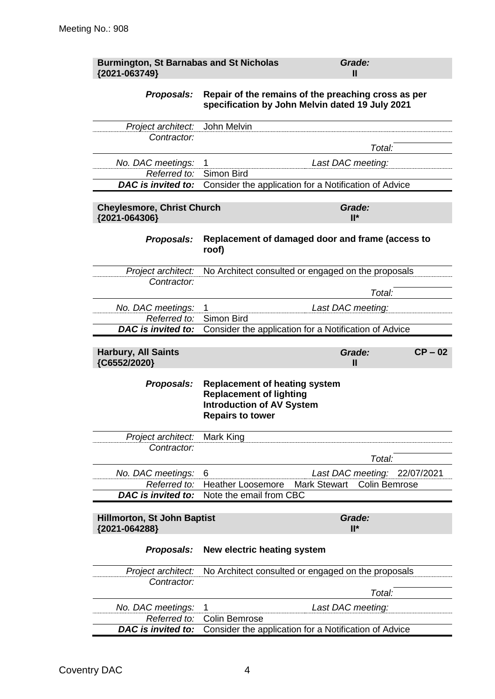| <b>Burmington, St Barnabas and St Nicholas</b><br>{2021-063749} | Grade:<br>Ш                                                                                                                           |
|-----------------------------------------------------------------|---------------------------------------------------------------------------------------------------------------------------------------|
| Proposals:                                                      | Repair of the remains of the preaching cross as per<br>specification by John Melvin dated 19 July 2021                                |
| Project architect:                                              | John Melvin                                                                                                                           |
| Contractor:                                                     | Total:                                                                                                                                |
| No. DAC meetings:                                               | Last DAC meeting:<br>1                                                                                                                |
| Referred to:                                                    | Simon Bird                                                                                                                            |
| DAC is invited to:                                              | Consider the application for a Notification of Advice                                                                                 |
| <b>Cheylesmore, Christ Church</b>                               | Grade:                                                                                                                                |
| {2021-064306}                                                   | $II^*$                                                                                                                                |
| Proposals:                                                      | Replacement of damaged door and frame (access to<br>roof)                                                                             |
| Project architect:                                              | No Architect consulted or engaged on the proposals                                                                                    |
| Contractor:                                                     | Total:                                                                                                                                |
|                                                                 |                                                                                                                                       |
| No. DAC meetings:<br>Referred to:                               | Last DAC meeting:<br>1<br>Simon Bird                                                                                                  |
| DAC is invited to:                                              | Consider the application for a Notification of Advice                                                                                 |
|                                                                 |                                                                                                                                       |
| <b>Harbury, All Saints</b><br>{C6552/2020}                      | $CP - 02$<br>Grade:<br>$\mathbf{I}$                                                                                                   |
| Proposals:                                                      | <b>Replacement of heating system</b><br><b>Replacement of lighting</b><br><b>Introduction of AV System</b><br><b>Repairs to tower</b> |
| Project architect:                                              | Mark King                                                                                                                             |
| Contractor:                                                     |                                                                                                                                       |
|                                                                 | Total:                                                                                                                                |
| No. DAC meetings:                                               | Last DAC meeting: 22/07/2021<br>6                                                                                                     |
| Referred to:                                                    | Heather Loosemore<br><b>Mark Stewart</b><br><b>Colin Bemrose</b>                                                                      |
| <b>DAC</b> is invited to:                                       | Note the email from CBC                                                                                                               |
|                                                                 |                                                                                                                                       |
| <b>Hillmorton, St John Baptist</b><br>{2021-064288}             | Grade:<br>$II^*$                                                                                                                      |
| Proposals:                                                      | New electric heating system                                                                                                           |
| Project architect:                                              | No Architect consulted or engaged on the proposals                                                                                    |
| Contractor:                                                     |                                                                                                                                       |
|                                                                 | Total:                                                                                                                                |
| No. DAC meetings:                                               | Last DAC meeting:<br>1                                                                                                                |
| Referred to:<br><b>DAC</b> is invited to:                       | Colin Bemrose                                                                                                                         |
|                                                                 | Consider the application for a Notification of Advice                                                                                 |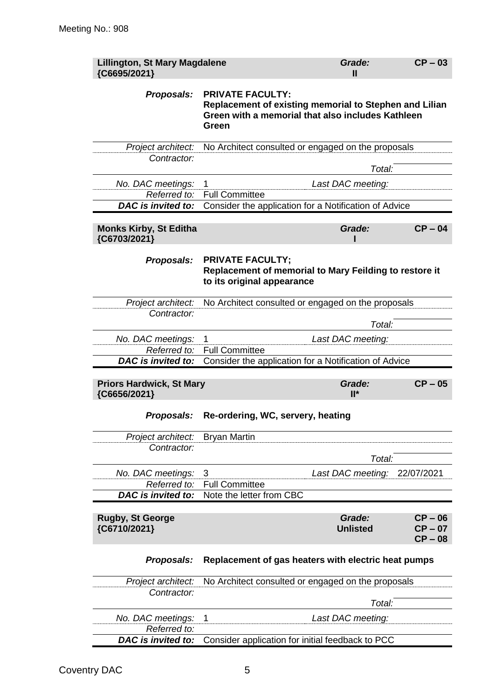| <b>Lillington, St Mary Magdalene</b><br>{C6695/2021} |                                                                                                                                                 | Grade:<br>Ш               | $CP - 03$                           |
|------------------------------------------------------|-------------------------------------------------------------------------------------------------------------------------------------------------|---------------------------|-------------------------------------|
| Proposals:                                           | <b>PRIVATE FACULTY:</b><br>Replacement of existing memorial to Stephen and Lilian<br>Green with a memorial that also includes Kathleen<br>Green |                           |                                     |
| Project architect:<br>Contractor:                    | No Architect consulted or engaged on the proposals                                                                                              |                           |                                     |
|                                                      |                                                                                                                                                 | Total:                    |                                     |
| No. DAC meetings:                                    | Last DAC meeting:<br>1                                                                                                                          |                           |                                     |
| Referred to:                                         | <b>Full Committee</b>                                                                                                                           |                           |                                     |
| <b>DAC</b> is invited to:                            | Consider the application for a Notification of Advice                                                                                           |                           |                                     |
| <b>Monks Kirby, St Editha</b><br>{C6703/2021}        |                                                                                                                                                 | Grade:                    | $CP - 04$                           |
| Proposals:                                           | <b>PRIVATE FACULTY;</b><br>Replacement of memorial to Mary Feilding to restore it<br>to its original appearance                                 |                           |                                     |
| Contractor:                                          | Project architect: No Architect consulted or engaged on the proposals                                                                           |                           |                                     |
|                                                      |                                                                                                                                                 | Total:                    |                                     |
| No. DAC meetings:                                    | 1                                                                                                                                               | Last DAC meeting:         |                                     |
| Referred to:                                         | <b>Full Committee</b>                                                                                                                           |                           |                                     |
| DAC is invited to:                                   | Consider the application for a Notification of Advice                                                                                           |                           |                                     |
| <b>Priors Hardwick, St Mary</b><br>{C6656/2021}      |                                                                                                                                                 | Grade:<br>$II^*$          | $CP - 05$                           |
| Proposals:                                           | Re-ordering, WC, servery, heating                                                                                                               |                           |                                     |
| Project architect:                                   | <b>Bryan Martin</b>                                                                                                                             |                           |                                     |
| Contractor:                                          |                                                                                                                                                 |                           |                                     |
|                                                      |                                                                                                                                                 | Total:                    |                                     |
| No. DAC meetings:                                    | 3                                                                                                                                               | Last DAC meeting:         | 22/07/2021                          |
| Referred to:                                         | <b>Full Committee</b>                                                                                                                           |                           |                                     |
| DAC is invited to:                                   | Note the letter from CBC                                                                                                                        |                           |                                     |
| <b>Rugby, St George</b><br>{C6710/2021}              |                                                                                                                                                 | Grade:<br><b>Unlisted</b> | $CP - 06$<br>$CP - 07$<br>$CP - 08$ |
| Proposals:                                           | Replacement of gas heaters with electric heat pumps                                                                                             |                           |                                     |
| Project architect:                                   | No Architect consulted or engaged on the proposals                                                                                              |                           |                                     |
| Contractor:                                          |                                                                                                                                                 |                           |                                     |
|                                                      |                                                                                                                                                 | Total:                    |                                     |
| No. DAC meetings:<br>Referred to:                    | 1                                                                                                                                               | Last DAC meeting:         |                                     |
| DAC is invited to:                                   | Consider application for initial feedback to PCC                                                                                                |                           |                                     |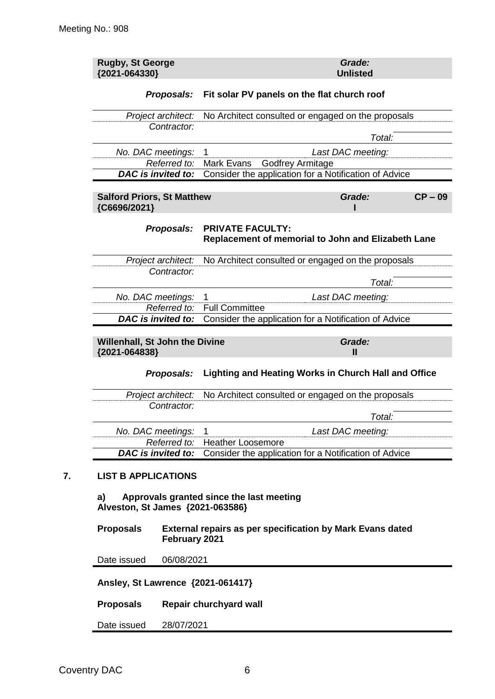| <b>Rugby, St George</b><br>{2021-064330}                             |                                                                                   | Grade:<br><b>Unlisted</b>                   |  |  |
|----------------------------------------------------------------------|-----------------------------------------------------------------------------------|---------------------------------------------|--|--|
| Proposals:                                                           |                                                                                   | Fit solar PV panels on the flat church roof |  |  |
| Project architect:                                                   | No Architect consulted or engaged on the proposals                                |                                             |  |  |
| Contractor:                                                          |                                                                                   | Total:                                      |  |  |
| No. DAC meetings:                                                    | Last DAC meeting:<br>1                                                            |                                             |  |  |
| Referred to:                                                         | <b>Godfrey Armitage</b><br>Mark Evans                                             |                                             |  |  |
| DAC is invited to:                                                   | Consider the application for a Notification of Advice                             |                                             |  |  |
| <b>Salford Priors, St Matthew</b><br>{C6696/2021}                    |                                                                                   | Grade:<br>$CP - 09$                         |  |  |
| Proposals:                                                           | <b>PRIVATE FACULTY:</b><br>Replacement of memorial to John and Elizabeth Lane     |                                             |  |  |
| Project architect:                                                   | No Architect consulted or engaged on the proposals                                |                                             |  |  |
| Contractor:                                                          |                                                                                   | Total:                                      |  |  |
| No. DAC meetings:                                                    | 1<br>Last DAC meeting:                                                            |                                             |  |  |
| Referred to:                                                         | <b>Full Committee</b>                                                             |                                             |  |  |
| <b>DAC</b> is invited to:                                            | Consider the application for a Notification of Advice                             |                                             |  |  |
| Willenhall, St John the Divine<br>{2021-064838}                      |                                                                                   | Grade:<br>$\mathbf{I}$                      |  |  |
| Proposals:                                                           | Lighting and Heating Works in Church Hall and Office                              |                                             |  |  |
| Project architect:                                                   | No Architect consulted or engaged on the proposals                                |                                             |  |  |
| Contractor:                                                          |                                                                                   |                                             |  |  |
|                                                                      |                                                                                   | Total:                                      |  |  |
| No. DAC meetings:                                                    | Last DAC meeting:<br>1                                                            |                                             |  |  |
| Referred to:<br><b>DAC</b> is invited to:                            | <b>Heather Loosemore</b><br>Consider the application for a Notification of Advice |                                             |  |  |
| <b>LIST B APPLICATIONS</b><br>a)<br>Alveston, St James {2021-063586} | Approvals granted since the last meeting                                          |                                             |  |  |
| <b>Proposals</b>                                                     | External repairs as per specification by Mark Evans dated<br>February 2021        |                                             |  |  |
| Date issued<br>06/08/2021                                            |                                                                                   |                                             |  |  |
| Ansley, St Lawrence {2021-061417}                                    |                                                                                   |                                             |  |  |
| <b>Proposals</b>                                                     | Repair churchyard wall                                                            |                                             |  |  |
| Date issued<br>28/07/2021                                            |                                                                                   |                                             |  |  |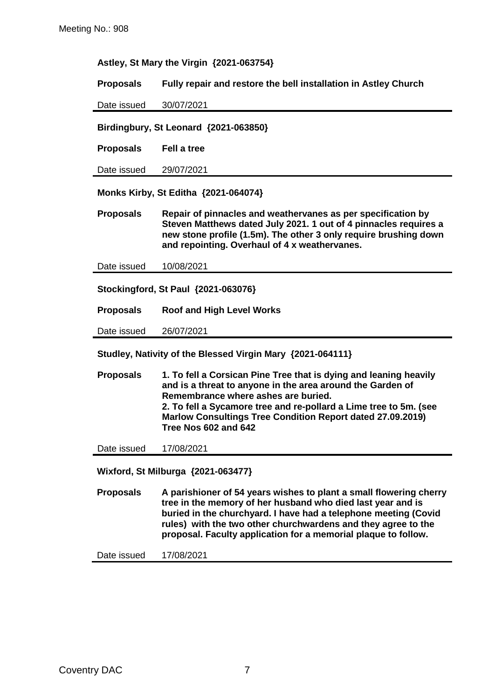#### **Astley, St Mary the Virgin {2021-063754}**

**Proposals Fully repair and restore the bell installation in Astley Church**

Date issued 30/07/2021

**Birdingbury, St Leonard {2021-063850}**

**Proposals Fell a tree**

Date issued 29/07/2021

**Monks Kirby, St Editha {2021-064074}**

**Proposals Repair of pinnacles and weathervanes as per specification by Steven Matthews dated July 2021. 1 out of 4 pinnacles requires a new stone profile (1.5m). The other 3 only require brushing down and repointing. Overhaul of 4 x weathervanes.**

Date issued 10/08/2021

**Stockingford, St Paul {2021-063076}**

**Proposals Roof and High Level Works**

Date issued 26/07/2021

**Studley, Nativity of the Blessed Virgin Mary {2021-064111}**

**Proposals 1. To fell a Corsican Pine Tree that is dying and leaning heavily and is a threat to anyone in the area around the Garden of Remembrance where ashes are buried. 2. To fell a Sycamore tree and re-pollard a Lime tree to 5m. (see Marlow Consultings Tree Condition Report dated 27.09.2019) Tree Nos 602 and 642**

Date issued 17/08/2021

**Wixford, St Milburga {2021-063477}**

**Proposals A parishioner of 54 years wishes to plant a small flowering cherry tree in the memory of her husband who died last year and is buried in the churchyard. I have had a telephone meeting (Covid rules) with the two other churchwardens and they agree to the proposal. Faculty application for a memorial plaque to follow.**

Date issued 17/08/2021